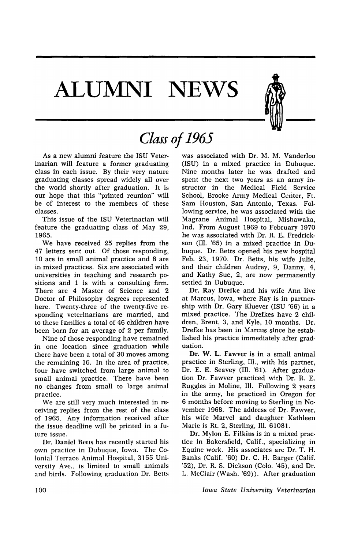# **ALUJMNI NEWS**



## *Class of 1965*

As a new alumni feature the ISU Veterinarian will feature a former graduating class in each issue. By their very nature graduating classes spread widely all over the world shortly after graduation. It is our hope that this "printed reunion" will be of interest to the members of these classes.

This issue of the ISU Veterinarian will feature the graduating class of May 29, 1965.

We have received 25 replies from the 47 letters sent out. Of those responding, 10 are in small animal practice and 8 are in mixed practices. Six are associated with universities in teaching and research positions and 1 is with a consulting firm. There are 4 Master of Science and 2 Doctor of Philosophy degrees represented here. Twenty-three of the twenty-five responding veterinarians are married, and to these families a total of 46 children have been born for an average of 2 per family.

Nine of those responding have remained in one location since graduation while there have been a total of 30 moves among the remaining 16. In the area of practice, four have switched from large animal to small animal practice. There have been no changes from small to large animal practice.

We are still very much interested in receiving replies from the rest of the class of 1965. Any information received after the issue deadline will be printed in a future issue.

Dr. Daniel Betts has recently started his own practice in Dubuque, Iowa. The Colonial Terrace Animal Hospital, 3155 University Ave., is limited to small animals and birds. Following graduation Dr. Betts was associated with Dr. M. M. Vanderloo (ISU) in a mixed practice in Dubuque. Nine months later he was drafted and spent the next two years as an army instructor in the Medical Field Service School, Brooke Army Medical Center, Ft. Sam Houston, San Antonio, Texas. Following service, he was associated with the Magrane Animal Hospital, Mishawaka, Ind. From August 1969 to February 1970 he was associated with Dr. R. E. Fredrickson (Ill. '65) in a mixed practice in Dubuque. Dr. Betts opened his new hospital Feb. 23, 1970. Dr. Betts, his wife Julie, and their children Audrey, 9, Danny, 4, and Kathy Sue, 2, are now permanently settled in Dubuque.

Dr. Ray Drefke and his wife Ann live at Marcus, Iowa, where Ray is in partnership with Dr. Gary Kluever (ISU '66) in a mixed practice. The Drefkes have 2 children, Brent, 3, and Kyle, 10 months. Dr. Drefke has been in Marcus since he established his practice immediately after graduation.

Dr. W. L. Fawver is in a small animal practice in Sterling, Ill., with his partner, Dr. E. E. Seavey (Ill. '61). After graduation Dr. Fawver practiced with Dr. R. E. Ruggles in Moline, Ill. Following 2 years in the army, he practiced in Oregon for 6 months before moving to Sterling in November 1968. The address of Dr. Fawver, his wife Marvel and daughter Kathleen Marie is Rt. 2, Sterling, Ill. 61081.

Dr. Mylon E. Filkins is in a mixed practice in Bakersfield, Calif., specializing in Equine work. His associates are Dr. T. H. Banks (Calif. '60) Dr. C. H. Barger (Calif. '52), Dr. R. S. Dickson (Colo. '45), and Dr. L. McClair (Wash. '69)). After graduation

*Iowa State University Veterinarian*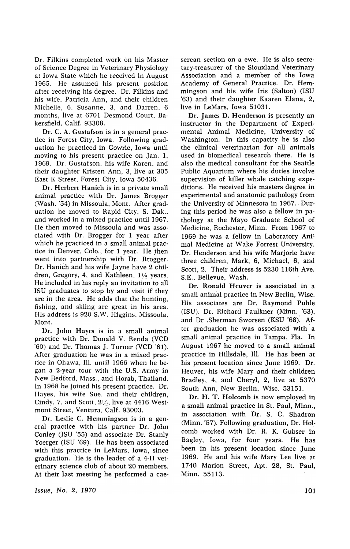Dr. Filkins completed work on his Master of Science Degree in Veterinary Physiology at Iowa State which he received in August 1965. He assumed his present position after receiving his degree. Dr. Filkins and his wife, Patricia Ann, and their children Michelle, 6, Susanne, 3, and Darren, 6 months, live at 6701 Desmond Court. Bakersfield, Calif. 93308.

Dr. C. A. Gustafson is in a general practice in Forest City, Iowa. Following graduation he practiced in Gowrie, Iowa until moving to his present practice on Jan. 1. 1969. Dr. Gustafson, his wife Karen. and their daughter Kristen Ann, 3, live at 305 East K Street, Forest City, Iowa 50436.

Dr. Herbert Hanich is in a private small animal practice with Dr. James Brogger (Wash. '54) in Missoula. Mont. After graduation he moved to Rapid City, S. Dak., and worked in a mixed practice until 1967. He then moved to Missoula and was associated with Dr. Brogger for 1 year after which he practiced in a small animal practice in Denver, Colo., for 1 year. He then went into partnership with Dr. Brogger. Dr. Hanich and his wife Jayne have 2 children, Gregory, 4, and Kathleen,  $1\frac{1}{2}$  years. He included in his reply an invitation to all ISU graduates to stop by and visit if they are in the area. He adds that the hunting, fishing, and skiing are great in his area. His address is 920 S.W. Higgins, Missoula, Mont.

Dr. John Hayes is in a small animal practice with Dr. Donald V. Renda (VCD '60) and Dr. Thomas J. Turner (VCD '61). After graduation he was in a mixed practice in Ohawa, Ill. until 1966 when he began a 2-year tour with the U,S. Army in New Bedford, Mass., and Horab, Thailand, In 1968 he joined his present practice. Dr. Hayes, his wife Sue, and their children, Cindy, 7, and Scott,  $2\frac{1}{2}$ , live at 4416 Westmont Street, Ventura, Calf. 93003.

Dr. Leslie C. Hemmingson is in a general practice with his partner Dr. John Conley (ISU '55) and associate Dr. Stanly Yoerger (ISU '69). He has been associated with this practice in LeMars, Iowa, since graduation. He is the leader of a 4-H veterinary science club of about 20 members. At their last meeting he performed a cae-

Issue, No.2, 1970

serean section on a ewe. He is also secretary-treasurer of the Siouxland Veterinary Association and a member of the Iowa Academy of General Practice. Dr. Hemmingson and his wife Iris (Salton) (ISU '63) and their daughter Kaaren Elana, 2, live in LeMars, Iowa 51031.

Dr. James D. Henderson is presently an instructor in the Department of Experimental Animal Medicine, University of Washington. In this capacity he is also the clinical veterinarian for all animals used in biomedical research there. He is also the medical consultant for the Seattle Public Aquarium where his duties involve supervision of killer whale catching expeditions. He received his masters degree in experimental and anatomic pathology from the University of Minnesota in 1967. During this period he was also a fellow in pathology at the Mayo Graduate School of Medicine, Rochester, Minn. From 1967 to 1969 he was a fellow in Laboratory Ani! mal Medicine at Wake Forrest University. Dr. Henderson and his wife Marjorie have three children, Mark, 6, Michael, 6, and Scott, 2. Their address is 5230 116th Ave. S.E., Bellevue, Wash.

Dr. Ronald Heuver is associated in a small animal practice in New Berlin, Wise, His associates are Dr. Raymond Puhle (lSU). Dr. Richard Faulkner (Minn. '63), and Dr .Sherman Sworsen (KSU '68). After graduation he was associated with a small animal practice in Tampa, Fla, In August 1967 he moved to a small animal practice in Hillsdale, Ill. He has been at his present location since June 1969. Dr. Heuver, his wife Mary and their children Bradley, 4, and Cheryl, 2, live at 5370 South Ann, New Berlin, Wisc. 53151.

Dr. H. T. Holcomb is now employed in a small animal practice in St. Paul, Minn., in association with Dr. S. C. Shadron (Minn. '57). Following graduation, Dr. Holcomb worked with Dr. R. K. Gubser in Bagley, Iowa, for four years. He has been in his present location since June 1969. He and his wife Mary Lee live at 1740 Marion Street, Apt. 28, St. Paul, Minn. 55113.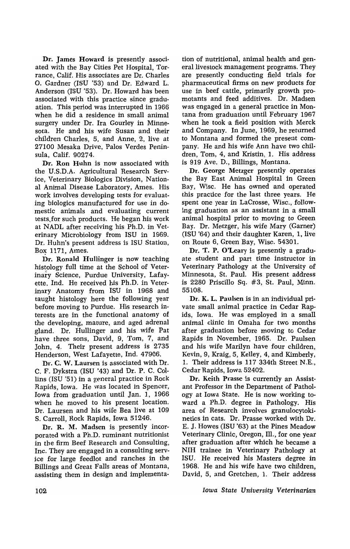Dr. James Howard is presently associated with the Bay Cities Pet Hospital, Torrance, Calif. His associates are Dr. Charles O. Gardner (ISU '53) and Dr. Edward L. Anderson (ISU '53). Dr. Howard has been associated with this practice since graduation. This period was interrupted in 1966 when he did a residence in small animal surgery under Dr. Ira Gourley in Minnesota. He and his wife Susan and their children Charles, 5, and Anne, 2, live at 27100 Mesaka Drive, Palos Verdes Peninsula, Calif. 90274.

Dr. Ron Huhn is now associated with the U.S.D.A. Agricultural Research Service, Veterinary Biologics Division, National Animal Disease Laboratory, Ames. His work involves developing tests for evaluating biologics manufactured for use in domestic animals and evaluating current tests,for such products. He began his work at NADL after receiving his Ph.D. in Veterinary Microbiology from ISU in 1969. Dr. Huhn's present address is ISU Station, Box 1171, Ames.

Dr. Ronald Hullinger is now teaching histology full time at the School of Veterinary Science, Purdue University, Lafayette, Ind. He received his Ph.D. in Veterinary Anatomy from ISU in 1968 and taught histology here the following year before moving to Purdue. His research interests are in the functional anatomy of the developing, mature, and aged adrenal gland. Dr. Hullinger and his wife Pat have three sons, David, 9, Tom, 7, and John, 4. Their present address is 2735 Henderson, West Lafayette, Ind. 47906.

Dr. C. W. Laursen is associated with Dr. C. F. Dykstra (ISU '43) and Dr. P. C. Collins (ISU '51) in a general practice in Rock Rapids, Iowa. He was located in Spencer, Iowa from graduation until Jan. 1, 1966 when he moved to his present location. Dr. Laursen and his wife Bea live at 109 S. Carroll, Rock Rapids, Iowa 51246.

Dr. R. M. Madsen is presently incorporated with a Ph.D. ruminant nutritionist in the firm Beef Research and Consulting, Inc. They are engaged in a consulting service for large feedlot and ranches in the Billings and Great Falls areas of Montana, assisting them in design and implementation of nutritional, animal health and general livestock management programs. They are presently conducting field trials for pharmaceutical firms on new products for use in beef oattle, primarily growth promotants and feed additives. Dr. Madsen was engaged in a general practice in Montana from graduation until February 1967 when he took 'a field position with Merck and Company. In June, 1969, he returned to Montana and formed the present company. He and his wife Ann have two children, Tom, 4, and Kristin, 1. His address is 919 Ave. D., Billings, Montana.

Dr. George Metzger presently operates the Bay East Animal Hospital in Green Bay, Wisc. He has owned and operated this practice for the last three years. He spent one year in LaCrosse, Wise., following graduation as an assistant in a small animal hospital prior to moving to Green Bay. Dr. Metzger, his wife Mary (Garner) (ISU '64) and their daughter Karen, 1, live on Route 6, Green Bay, Wisc. 54301.

Dr. T. P. O'Leary is presently a graduate student and part time instructor in Veterinary Pathology at the University of Minnesota, St. Pau1. His present address is 2280 Priscillo Sq. #3, St. Paul, Minn. 55108.

Dr. K. L. Paulsen is in an individual private small animal practice in Cedar Rapids, Iowa. He was employed in a small animal clinic in Omaha for two months after graduation before moving to Cedar Rapids in November, 1965. Dr. Paulsen and his wife Marilyn have four children, Kevin, 9, Kraig, 5, Kelley, 4, and Kimberly, 1. Their address is 117 334th Street N.E., Cedar Rapids, Iowa 52402.

Dr. Keith Prasse is currently an Assistant Professor in the Department of Pathology at Iowa State. He is now working toward a Ph.D. degree in Pathology. His area of Research involves granulocytokinetics in cats. Dr. Prasse worked with Dr. E. J. Howes (ISU '63) at the Pines Meadow Veterinary Clinic, Oregon, Ill., for one year after graduation after which he became a NIH trainee in Veterinary Pathology at ISU. He received his Masters degree in 1968. He and his wife have two children, David, 5, and Gretchen, 1. Their address

*Iowa State University Veterinarian*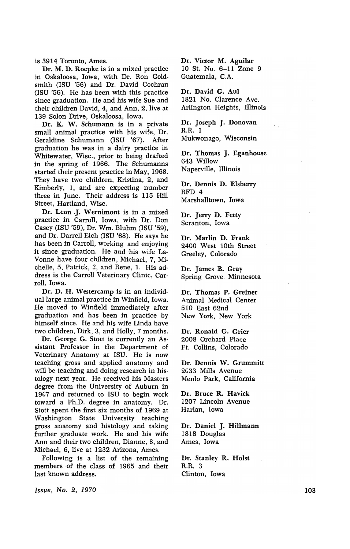is 3914 Toronto, Ames.

Dr. M. D. Roepke is in a mixed practice in Oskaloosa, Iowa, with Dr. Ron Goldsmith (ISU '56) and Dr. David Cochran (ISU '56). He has been with this practice since graduation. He and his wife Sue and their children David, 4, and Ann, 2, live at 139 Solon Drive, Oskaloosa, Iowa.

Dr. K. W. Schumann is in a private small animal practice with his wife, Dr. Geraldine Schumann (ISU '67). After graduation he was in a dairy practice in Whitewater, Wise., prior to being drafted in the spring of 1966. The Schumanns started their present practice in May, 1968. They have two children, Kristina, 2, and Kimberly, 1, and are expecting number three in June. Their address is 115 Hill Street, Hartland, Wisc.

Dr. Leon J. Wernimont is in a mixed practice in Carroll, Iowa, with Dr. Don Casey (ISU '59), Dr. Wm. Bluhm (ISU '59), and Dr. Darrell Eich (ISU '68). He says he has been in Carroll, working and enjoying it since graduation. He and his wife La-Vonne have four children, Michael, 7, Michelle, 5, Patrick, 3, and Rene, 1. His address is the Carroll Veterinary Clinic, Carroll, Iowa.

Dr. D. H. Westercamp is in an individual large animal practice in Winfield, Iowa. He moved to Winfield immediately after graduation and has been in practice by himself since. He and his wife Linda have two children, Dirk, 3, and Holly, 7 months.

Dr. George G. Stott is currently an Assistant Professor in the Department of Veterinary Anatomy at ISU. He is now teaching gross and applied anatomy and will be teaching and doing research in his· tology next year. He received his Masters degree from the University of Auburn in 1967 and returned to ISU to begin work toward a Ph.D. degree in anatomy. Dr. Stott spent the first six months of 1969 at Washington State University teaching gross anatomy and histology and taking further graduate work. He and his wife Ann and their two children, Dianne, 8, and Michael, 6, live at 1232 Arizona, Ames.

Following is a list of the remaining members of the class of 1965 and their last known address.

Dr. Victor M. Aguilar 10 St. No. 6-11 Zone 9 Guatemala, C.A.

Dr. David G. Aul 1821 No. Clarence Ave. Arlington Heights, Illinois

Dr. Joseph J. Donovan  $R.R.$  1 Mukwonago, Wisconsin

Dr. Thomas J. Eganhouse 643 Willow Naperville, Illinois

Dr. Dennis D. Elsberry RFD 4 Marshalltown, Iowa

Dr. Jerry D. Fetty Scranton, Iowa

Dr. Marlin D. Frank 2400 West 10th Street Greeley, Colorado

Dr. James B. Gray Spring Grove, Minnesota

Dr. Thomas P. Greiner Animal Medical Center 510 East 62nd New York, New York

Dr. Ronald G. Grier 2008 Orchard Place Ft. Collins, Colorado

Dr. Dennis W. Grummitt 2033 Mills Avenue Menlo Park, California

Dr. Bruce R. Havick 1207 Lincoln Avenue Harlan, Iowa

Dr. Daniel J. Hillmann 1818 Douglas Ames, Iowa

Dr. Stanley R. Holst R.R. 3 Clinton, Iowa

Issue, No.2, 1970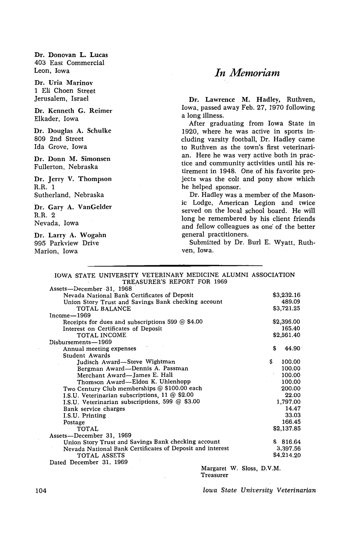Dr. Donovan L. Lucas 403 East Commercial Leon, Iowa

Dr. Uria Marinov 1 Eli Choen Street Jerusalem, Israel

Dr. Kenneth G. Reimer Elkader, Iowa

Dr. Douglas A. Schulke 809 2nd Street Ida Grove, Iowa

Dr. Donn M. Simonsen Fullerton, Nebraska

Dr. Jerry V. Thompson R.R. 1 Sutherland, Nebraska

Dr. Gary A. VanGelder R.R. 2 Nevada, Iowa

Dr. Larry A. Wogahn 995 Parkview Drive Marion, Iowa

### *In Memoriam*

Dr. Lawrence M. Hadley, Ruthven, Iowa, passed away Feb. 27, 1970 following a long illness.

After graduating from Iowa State in 1920, where he was active in sports including varsity football, Dr. Hadley came to Ruthven as the town's first veterinarian. Here he was very active both in practice and community activities until his retirement in 1948. One of his favorite projects was the colt and pony show which he helped sponsor.

Dr. Hadley was a member of the Masonic Lodge, American Legion and twice served on the local school board. He will long be remembered by his client friends and fellow colleagues as one' of the better general practitioners.

Submitted by Dr. Burl E. Wyatt, Ruthven, Iowa.

#### IOWA STATE UNIVERSITY VETERINARY MEDICINE ALUMNI ASSOCIATION TREASURER'S REPORT FOR 1969

| Assets-December 31, 1968                                  |                           |   |            |
|-----------------------------------------------------------|---------------------------|---|------------|
| Nevada National Bank Certificates of Deposit              |                           |   | \$3,232.16 |
| Union Story Trust and Savings Bank checking account       |                           |   | 489.09     |
| TOTAL BALANCE                                             |                           |   | \$3,721.25 |
| Income-1969                                               |                           |   |            |
| Receipts for dues and subscriptions 599 $@$ \$4.00        |                           |   | \$2,396.00 |
| Interest on Certificates of Deposit                       |                           |   | 165.40     |
| TOTAL INCOME                                              |                           |   | \$2,561.40 |
| Disbursements-1969                                        |                           |   |            |
| Annual meeting expenses                                   |                           | S | 44.90      |
| Student Awards                                            |                           |   |            |
| Judisch Award—Steve Wightman                              |                           | S | 100.00     |
| Bergman Award-Dennis A. Passman                           |                           |   | 100.00     |
| Merchant Award-James E. Hall                              |                           |   | 100.00     |
| Thomson Award-Eldon K. Uhlenhopp                          |                           |   | 100.00     |
| Two Century Club memberships @ \$100.00 each              |                           |   | 200.00     |
| I.S.U. Veterinarian subscriptions, 11 @ \$2.00            |                           |   | 22.00      |
| I.S.U. Veterinarian subscriptions, 599 @ \$3.00           |                           |   | 1,797.00   |
| Bank service charges                                      |                           |   | 14.47      |
| I.S.U. Printing                                           |                           |   | 33.03      |
| Postage                                                   |                           |   | 166.45     |
| TOTAL                                                     |                           |   | \$2,137.85 |
| Assets-December 31, 1969                                  |                           |   |            |
| Union Story Trust and Savings Bank checking account       |                           |   | \$816.64   |
| Nevada National Bank Certificates of Deposit and interest |                           |   | 3,397.56   |
| TOTAL ASSETS                                              |                           |   | \$4,214.20 |
| Dated December 31, 1969                                   |                           |   |            |
|                                                           | Margaret W. Sloss, D.V.M. |   |            |
|                                                           | Treasurer                 |   |            |

Iowa State University Veterinarian